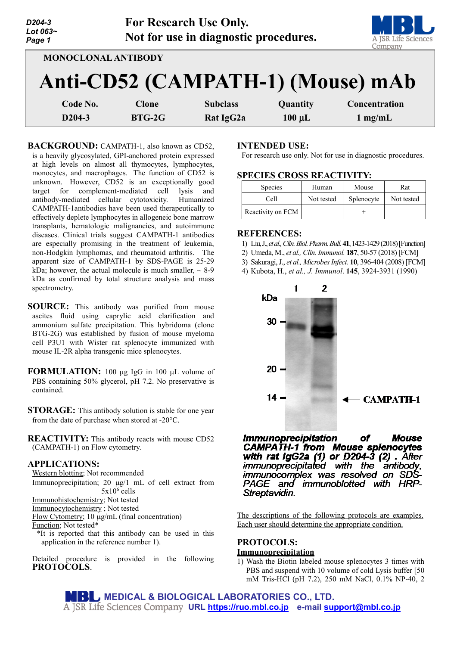| D204-3<br>Lot 063~<br>Page 1 |              | <b>For Research Use Only.</b><br>Not for use in diagnostic procedures. |             | A JSR Life Sciences<br>Company    |
|------------------------------|--------------|------------------------------------------------------------------------|-------------|-----------------------------------|
| <b>MONOCLONAL ANTIBODY</b>   |              |                                                                        |             |                                   |
|                              |              |                                                                        |             | Anti-CD52 (CAMPATH-1) (Mouse) mAb |
| Code No.                     | <b>Clone</b> | <b>Subclass</b>                                                        | Quantity    | Concentration                     |
| $D204-3$                     | $BTG-2G$     | Rat IgG2a                                                              | $100 \mu L$ | $1 \text{ mg/mL}$                 |

BACKGROUND: CAMPATH-1, also known as CD52, is a heavily glycosylated, GPI-anchored protein expressed at high levels on almost all thymocytes, lymphocytes, monocytes, and macrophages. The function of CD52 is unknown. However, CD52 is an exceptionally good target for complement-mediated cell lysis and antibody-mediated cellular cytotoxicity. Humanized CAMPATH-1antibodies have been used therapeutically to effectively deplete lymphocytes in allogeneic bone marrow transplants, hematologic malignancies, and autoimmune diseases. Clinical trials suggest CAMPATH-1 antibodies are especially promising in the treatment of leukemia, non-Hodgkin lymphomas, and rheumatoid arthritis. The apparent size of CAMPATH-1 by SDS-PAGE is 25-29 kDa; however, the actual molecule is much smaller,  $\sim 8-9$ kDa as confirmed by total structure analysis and mass spectrometry.

**SOURCE:** This antibody was purified from mouse ascites fluid using caprylic acid clarification and ammonium sulfate precipitation. This hybridoma (clone BTG-2G) was established by fusion of mouse myeloma cell P3U1 with Wister rat splenocyte immunized with mouse IL-2R alpha transgenic mice splenocytes.

**FORMULATION:** 100 µg IgG in 100 µL volume of PBS containing 50% glycerol, pH 7.2. No preservative is contained.

**STORAGE:** This antibody solution is stable for one year from the date of purchase when stored at -20°C.

**REACTIVITY:** This antibody reacts with mouse CD52 (CAMPATH-1) on Flow cytometry.

#### **APPLICATIONS:**

Western blotting; Not recommended

Immunoprecipitation; 20 µg/1 mL of cell extract from  $5x10^6$  cells

Immunohistochemistry; Not tested

Immunocytochemistry ; Not tested

Flow Cytometry; 10 µg/mL (final concentration)

Function; Not tested\*

\*It is reported that this antibody can be used in this application in the reference number 1).

Detailed procedure is provided in the following **PROTOCOLS**.

#### **INTENDED USE:**

For research use only. Not for use in diagnostic procedures.

#### **SPECIES CROSS REACTIVITY:**

| <b>Species</b>    | Human      | Mouse      | Rat        |
|-------------------|------------|------------|------------|
| Cell              | Not tested | Splenocyte | Not tested |
| Reactivity on FCM |            |            |            |

## **REFERENCES:**

- 1) Liu, J., *et al., Clin. Biol. Pharm. Bull.* **41**, 1423-1429 (2018) [Function]
- 2) Umeda, M., *et al., Clin. Immunol.* **187**, 50-57 (2018) [FCM]
- 3) Sakuragi, J., *et al., Microbes Infect.* **10**, 396-404 (2008) [FCM]
- 4) Kubota, H., *et al., J. Immunol*. **145**, 3924-3931 (1990)



**Immunoprecipitation Mouse** of **CAMPATH-1 from Mouse splenocytes** with rat IgG2a (1) or D204-3 (2) . After immunoprecipitated with the antibody, immunocomplex was resolved on SDS-PAGE and immunoblotted with HRP-Streptavidin.

The descriptions of the following protocols are examples. Each user should determine the appropriate condition.

## **PROTOCOLS: Immunoprecipitation**

1) Wash the Biotin labeled mouse splenocytes 3 times with PBS and suspend with 10 volume of cold Lysis buffer [50 mM Tris-HCl (pH 7.2), 250 mM NaCl, 0.1% NP-40, 2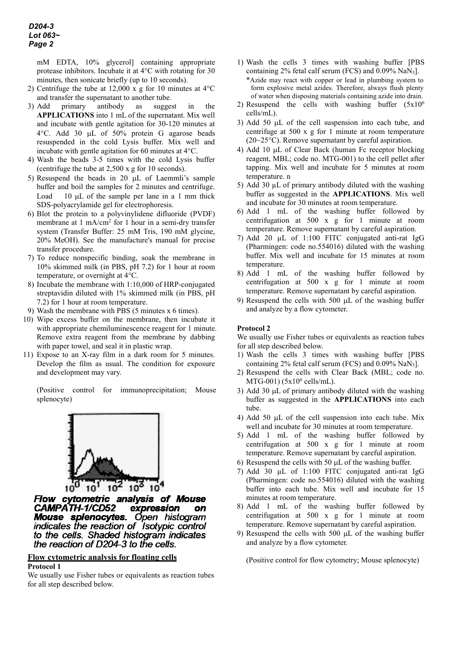mM EDTA, 10% glycerol] containing appropriate protease inhibitors. Incubate it at 4°C with rotating for 30 minutes, then sonicate briefly (up to 10 seconds).

- 2) Centrifuge the tube at 12,000 x g for 10 minutes at  $4^{\circ}$ C and transfer the supernatant to another tube.
- 3) Add primary antibody as suggest in the **APPLICATIONS** into 1 mL of the supernatant. Mix well and incubate with gentle agitation for 30-120 minutes at 4°C. Add 30 µL of 50% protein G agarose beads resuspended in the cold Lysis buffer. Mix well and incubate with gentle agitation for 60 minutes at 4°C.
- 4) Wash the beads 3-5 times with the cold Lysis buffer (centrifuge the tube at 2,500 x g for 10 seconds).
- 5) Resuspend the beads in 20 µL of Laemmli's sample buffer and boil the samples for 2 minutes and centrifuge. Load 10 µL of the sample per lane in a 1 mm thick SDS-polyacrylamide gel for electrophoresis.
- 6) Blot the protein to a polyvinylidene difluoride (PVDF) membrane at 1 mA/cm<sup>2</sup> for 1 hour in a semi-dry transfer system (Transfer Buffer: 25 mM Tris, 190 mM glycine, 20% MeOH). See the manufacture's manual for precise transfer procedure.
- 7) To reduce nonspecific binding, soak the membrane in 10% skimmed milk (in PBS, pH 7.2) for 1 hour at room temperature, or overnight at 4°C.
- 8) Incubate the membrane with 1:10,000 of HRP-conjugated streptavidin diluted with 1% skimmed milk (in PBS, pH 7.2) for 1 hour at room temperature.
- 9) Wash the membrane with PBS (5 minutes x 6 times).
- 10) Wipe excess buffer on the membrane, then incubate it with appropriate chemiluminescence reagent for 1 minute. Remove extra reagent from the membrane by dabbing with paper towel, and seal it in plastic wrap.
- 11) Expose to an X-ray film in a dark room for 5 minutes. Develop the film as usual. The condition for exposure and development may vary.

(Positive control for immunoprecipitation; Mouse splenocyte)



**Flow cytometric analysis of Mouse** CAMPATH-1/CD52 expression on **Mouse spienocytes.** Open histogram indicates the reaction of Isotypic control to the cells. Shaded histogram indicates the reaction of D204-3 to the cells.

## **Flow cytometric analysis for floating cells Protocol 1**

We usually use Fisher tubes or equivalents as reaction tubes for all step described below.

- 1) Wash the cells 3 times with washing buffer [PBS containing 2% fetal calf serum (FCS) and 0.09% NaN3]. \*Azide may react with copper or lead in plumbing system to form explosive metal azides. Therefore, always flush plenty of water when disposing materials containing azide into drain.
- 2) Resuspend the cells with washing buffer  $(5x10^6)$ cells/mL).
- 3) Add 50 µL of the cell suspension into each tube, and centrifuge at 500 x g for 1 minute at room temperature  $(20~25$ °C). Remove supernatant by careful aspiration.
- 4) Add 10 µL of Clear Back (human Fc receptor blocking reagent, MBL; code no. MTG-001) to the cell pellet after tapping. Mix well and incubate for 5 minutes at room temperature. n
- 5) Add 30  $\mu$ L of primary antibody diluted with the washing buffer as suggested in the **APPLICATIONS**. Mix well and incubate for 30 minutes at room temperature.
- 6) Add 1 mL of the washing buffer followed by centrifugation at 500 x g for 1 minute at room temperature. Remove supernatant by careful aspiration.
- 7) Add 20 µL of 1:100 FITC conjugated anti-rat IgG (Pharmingen: code no.554016) diluted with the washing buffer. Mix well and incubate for 15 minutes at room temperature.
- 8) Add 1 mL of the washing buffer followed by centrifugation at 500 x g for 1 minute at room temperature. Remove supernatant by careful aspiration.
- 9) Resuspend the cells with 500 µL of the washing buffer and analyze by a flow cytometer.

# **Protocol 2**

We usually use Fisher tubes or equivalents as reaction tubes for all step described below.

- 1) Wash the cells 3 times with washing buffer [PBS containing  $2\%$  fetal calf serum (FCS) and  $0.09\%$  NaN<sub>3</sub>].
- 2) Resuspend the cells with Clear Back (MBL; code no.  $MTG-001$ ) (5x10<sup>6</sup> cells/mL).
- 3) Add 30 µL of primary antibody diluted with the washing buffer as suggested in the **APPLICATIONS** into each tube.
- 4) Add 50 µL of the cell suspension into each tube. Mix well and incubate for 30 minutes at room temperature.
- 5) Add 1 mL of the washing buffer followed by centrifugation at 500 x g for 1 minute at room temperature. Remove supernatant by careful aspiration.
- 6) Resuspend the cells with 50  $\mu$ L of the washing buffer.
- 7) Add 30 µL of 1:100 FITC conjugated anti-rat IgG (Pharmingen: code no.554016) diluted with the washing buffer into each tube. Mix well and incubate for 15 minutes at room temperature.
- 8) Add 1 mL of the washing buffer followed by centrifugation at 500 x g for 1 minute at room temperature. Remove supernatant by careful aspiration.
- 9) Resuspend the cells with 500 µL of the washing buffer and analyze by a flow cytometer.

(Positive control for flow cytometry; Mouse splenocyte)